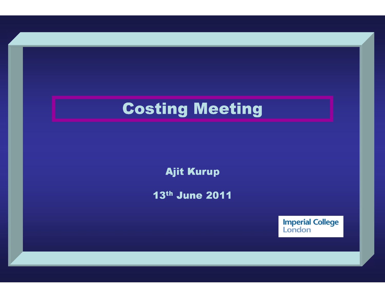Ajit Kurup

13th June 2011

Imperial College<br>London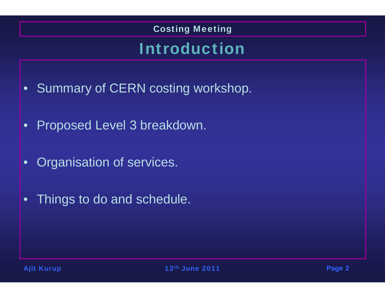### Introduction

- Summary of CERN costing workshop.
- •Proposed Level 3 breakdown.
- $\bullet$ Organisation of services.
- Things to do and schedule.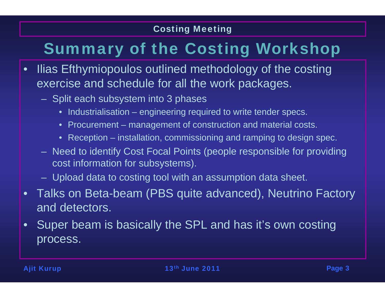# Summary of the Costing Workshop

- • Ilias Efthymiopoulos outlined methodology of the costing exercise and schedule for all the work packages.
	- Split each subsystem into 3 phases
		- Industrialisation engineering required to write tender specs.
		- Procurement management of construction and material costs.
		- Reception installation, commissioning and ramping to design spec.
	- Need to identify Cost Focal Points (people responsible for providing cost information for subsystems).
	- Upload data to costing tool with an assumption data sheet.
- Talks on Beta-beam (PBS quite advanced), Neutrino Factory and detectors.
- $\bullet$  Super beam is basically the SPL and has it's own costing process.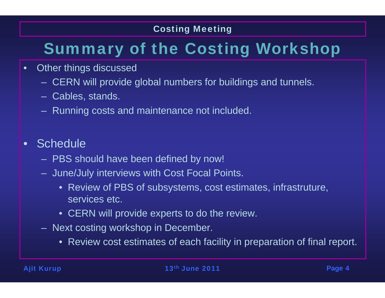# Summary of the Costing Workshop

- • Other things discussed
	- CERN will provide global numbers for buildings and tunnels.
	- Cables, stands.
	- Running costs and maintenance not included.
- •**Schedule** 
	- PBS should have been defined by now!
	- June/July interviews with Cost Focal Points.
		- Review of PBS of subsystems, cost estimates, infrastruture, services etc.
		- CERN will provide experts to do the review.
	- Next costing workshop in December.
		- Review cost estimates of each facility in preparation of final report.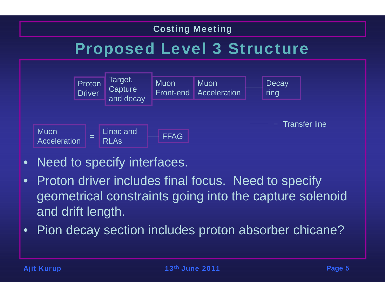## Proposed Level 3 Structure



- •Need to specify interfaces.
- • Proton driver includes final focus. Need to specify geometrical constraints going into the capture solenoid and drift length.
- $\bullet$ Pion decay section includes proton absorber chicane?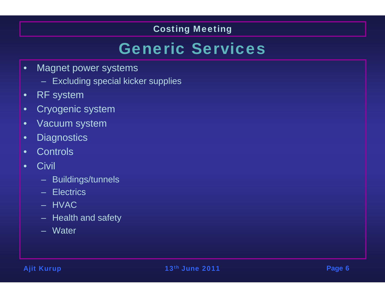### Generic Services

- • Magnet power systems
	- Excluding special kicker supplies
- •RF system
- •Cryogenic system
- •Vacuum system
- •**Diagnostics**
- •**Controls**
- •**Civil** 
	- Buildings/tunnels
	- Electrics
	- HVAC
	- Health and safety
	- Water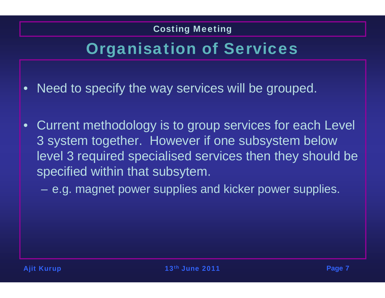## Organisation of Services

- •Need to specify the way services will be grouped.
- Current methodology is to group services for each Level 3 system together. However if one subsystem below level 3 required specialised services then they should be specified within that subsytem.

e.g. magnet power supplies and kicker power supplies.